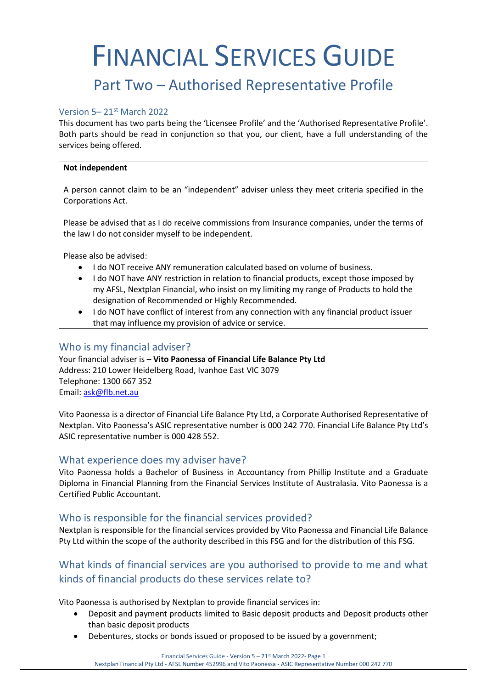# FINANCIAL SERVICES GUIDE

# Part Two – Authorised Representative Profile

## Version 5– 21st March 2022

This document has two parts being the 'Licensee Profile' and the 'Authorised Representative Profile'. Both parts should be read in conjunction so that you, our client, have a full understanding of the services being offered.

#### **Not independent**

A person cannot claim to be an "independent" adviser unless they meet criteria specified in the Corporations Act.

Please be advised that as I do receive commissions from Insurance companies, under the terms of the law I do not consider myself to be independent.

Please also be advised:

- I do NOT receive ANY remuneration calculated based on volume of business.
- I do NOT have ANY restriction in relation to financial products, except those imposed by my AFSL, Nextplan Financial, who insist on my limiting my range of Products to hold the designation of Recommended or Highly Recommended.
- I do NOT have conflict of interest from any connection with any financial product issuer that may influence my provision of advice or service.

# Who is my financial adviser?

Your financial adviser is – **Vito Paonessa of Financial Life Balance Pty Ltd** Address: 210 Lower Heidelberg Road, Ivanhoe East VIC 3079 Telephone: 1300 667 352 Email: [ask@flb.net.au](mailto:ask@flb.net.au)

Vito Paonessa is a director of Financial Life Balance Pty Ltd, a Corporate Authorised Representative of Nextplan. Vito Paonessa's ASIC representative number is 000 242 770. Financial Life Balance Pty Ltd's ASIC representative number is 000 428 552.

#### What experience does my adviser have?

Vito Paonessa holds a Bachelor of Business in Accountancy from Phillip Institute and a Graduate Diploma in Financial Planning from the Financial Services Institute of Australasia. Vito Paonessa is a Certified Public Accountant.

# Who is responsible for the financial services provided?

Nextplan is responsible for the financial services provided by Vito Paonessa and Financial Life Balance Pty Ltd within the scope of the authority described in this FSG and for the distribution of this FSG.

# What kinds of financial services are you authorised to provide to me and what kinds of financial products do these services relate to?

Vito Paonessa is authorised by Nextplan to provide financial services in:

- Deposit and payment products limited to Basic deposit products and Deposit products other than basic deposit products
- Debentures, stocks or bonds issued or proposed to be issued by a government;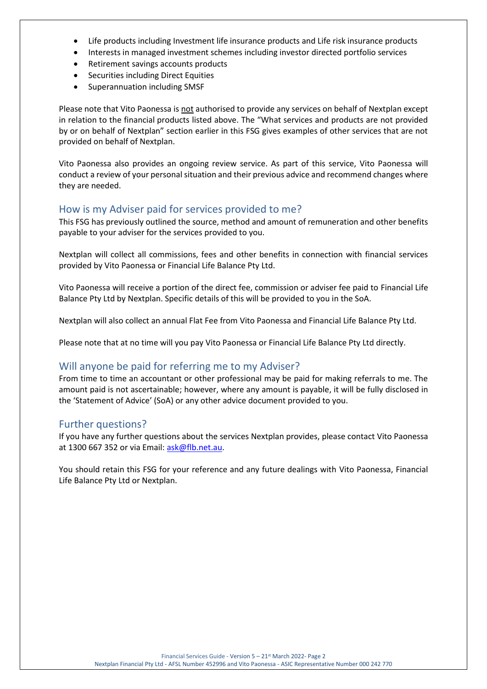- Life products including Investment life insurance products and Life risk insurance products
- Interests in managed investment schemes including investor directed portfolio services
- Retirement savings accounts products
- Securities including Direct Equities
- Superannuation including SMSF

Please note that Vito Paonessa is not authorised to provide any services on behalf of Nextplan except in relation to the financial products listed above. The "What services and products are not provided by or on behalf of Nextplan" section earlier in this FSG gives examples of other services that are not provided on behalf of Nextplan.

Vito Paonessa also provides an ongoing review service. As part of this service, Vito Paonessa will conduct a review of your personal situation and their previous advice and recommend changes where they are needed.

## How is my Adviser paid for services provided to me?

This FSG has previously outlined the source, method and amount of remuneration and other benefits payable to your adviser for the services provided to you.

Nextplan will collect all commissions, fees and other benefits in connection with financial services provided by Vito Paonessa or Financial Life Balance Pty Ltd.

Vito Paonessa will receive a portion of the direct fee, commission or adviser fee paid to Financial Life Balance Pty Ltd by Nextplan. Specific details of this will be provided to you in the SoA.

Nextplan will also collect an annual Flat Fee from Vito Paonessa and Financial Life Balance Pty Ltd.

Please note that at no time will you pay Vito Paonessa or Financial Life Balance Pty Ltd directly.

# Will anyone be paid for referring me to my Adviser?

From time to time an accountant or other professional may be paid for making referrals to me. The amount paid is not ascertainable; however, where any amount is payable, it will be fully disclosed in the 'Statement of Advice' (SoA) or any other advice document provided to you.

# Further questions?

If you have any further questions about the services Nextplan provides, please contact Vito Paonessa at 1300 667 352 or via Email: [ask@flb.net.au.](mailto:ask@flb.net.au)

You should retain this FSG for your reference and any future dealings with Vito Paonessa, Financial Life Balance Pty Ltd or Nextplan.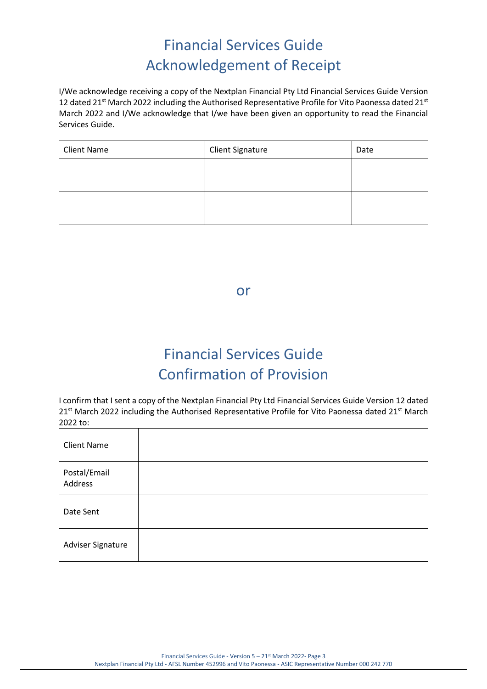# Financial Services Guide Acknowledgement of Receipt

I/We acknowledge receiving a copy of the Nextplan Financial Pty Ltd Financial Services Guide Version 12 dated 21<sup>st</sup> March 2022 including the Authorised Representative Profile for Vito Paonessa dated 21<sup>st</sup> March 2022 and I/We acknowledge that I/we have been given an opportunity to read the Financial Services Guide.

| <b>Client Name</b> | <b>Client Signature</b> | Date |
|--------------------|-------------------------|------|
|                    |                         |      |
|                    |                         |      |
|                    |                         |      |
|                    |                         |      |

or

# Financial Services Guide Confirmation of Provision

I confirm that I sent a copy of the Nextplan Financial Pty Ltd Financial Services Guide Version 12 dated 21<sup>st</sup> March 2022 including the Authorised Representative Profile for Vito Paonessa dated 21<sup>st</sup> March 2022 to:

| <b>Client Name</b>      |  |
|-------------------------|--|
| Postal/Email<br>Address |  |
| Date Sent               |  |
| Adviser Signature       |  |